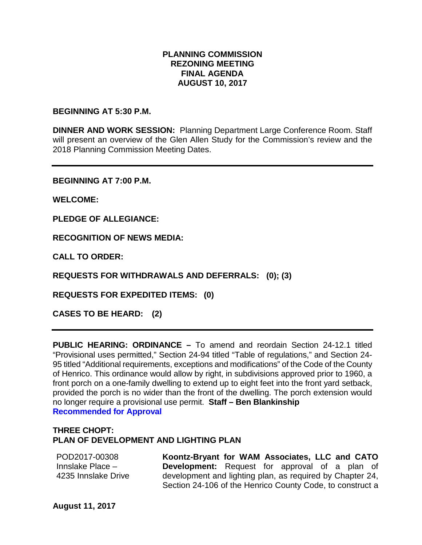# **PLANNING COMMISSION REZONING MEETING FINAL AGENDA AUGUST 10, 2017**

## **BEGINNING AT 5:30 P.M.**

**DINNER AND WORK SESSION:** Planning Department Large Conference Room. Staff will present an overview of the Glen Allen Study for the Commission's review and the 2018 Planning Commission Meeting Dates.

**BEGINNING AT 7:00 P.M.**

**WELCOME:**

**PLEDGE OF ALLEGIANCE:**

**RECOGNITION OF NEWS MEDIA:**

**CALL TO ORDER:**

**REQUESTS FOR WITHDRAWALS AND DEFERRALS: (0); (3)**

**REQUESTS FOR EXPEDITED ITEMS: (0)**

**CASES TO BE HEARD: (2)**

**PUBLIC HEARING: ORDINANCE –** To amend and reordain Section 24-12.1 titled "Provisional uses permitted," Section 24-94 titled "Table of regulations," and Section 24- 95 titled "Additional requirements, exceptions and modifications" of the Code of the County of Henrico. This ordinance would allow by right, in subdivisions approved prior to 1960, a front porch on a one-family dwelling to extend up to eight feet into the front yard setback, provided the porch is no wider than the front of the dwelling. The porch extension would no longer require a provisional use permit. **Staff – Ben Blankinship Recommended for Approval**

# **THREE CHOPT: PLAN OF DEVELOPMENT AND LIGHTING PLAN**

POD2017-00308 Innslake Place – 4235 Innslake Drive **Koontz-Bryant for WAM Associates, LLC and CATO Development:** Request for approval of a plan of development and lighting plan, as required by Chapter 24, Section 24-106 of the Henrico County Code, to construct a

**August 11, 2017**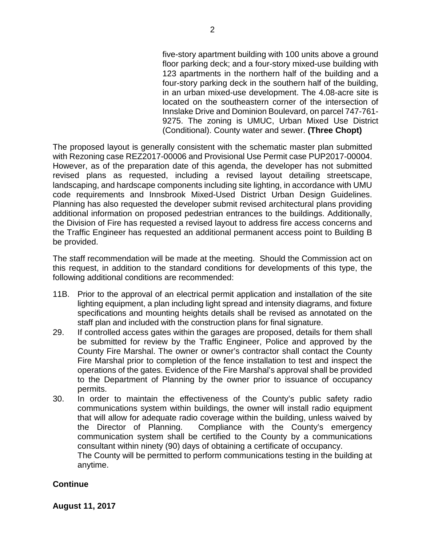five-story apartment building with 100 units above a ground floor parking deck; and a four-story mixed-use building with 123 apartments in the northern half of the building and a four-story parking deck in the southern half of the building, in an urban mixed-use development. The 4.08-acre site is located on the southeastern corner of the intersection of Innslake Drive and Dominion Boulevard, on parcel 747-761- 9275. The zoning is UMUC, Urban Mixed Use District (Conditional). County water and sewer. **(Three Chopt)**

The proposed layout is generally consistent with the schematic master plan submitted with Rezoning case REZ2017-00006 and Provisional Use Permit case PUP2017-00004. However, as of the preparation date of this agenda, the developer has not submitted revised plans as requested, including a revised layout detailing streetscape, landscaping, and hardscape components including site lighting, in accordance with UMU code requirements and Innsbrook Mixed-Used District Urban Design Guidelines. Planning has also requested the developer submit revised architectural plans providing additional information on proposed pedestrian entrances to the buildings. Additionally, the Division of Fire has requested a revised layout to address fire access concerns and the Traffic Engineer has requested an additional permanent access point to Building B be provided.

The staff recommendation will be made at the meeting. Should the Commission act on this request, in addition to the standard conditions for developments of this type, the following additional conditions are recommended:

- 11B. Prior to the approval of an electrical permit application and installation of the site lighting equipment, a plan including light spread and intensity diagrams, and fixture specifications and mounting heights details shall be revised as annotated on the staff plan and included with the construction plans for final signature.
- 29. If controlled access gates within the garages are proposed, details for them shall be submitted for review by the Traffic Engineer, Police and approved by the County Fire Marshal. The owner or owner's contractor shall contact the County Fire Marshal prior to completion of the fence installation to test and inspect the operations of the gates. Evidence of the Fire Marshal's approval shall be provided to the Department of Planning by the owner prior to issuance of occupancy permits.
- 30. In order to maintain the effectiveness of the County's public safety radio communications system within buildings, the owner will install radio equipment that will allow for adequate radio coverage within the building, unless waived by the Director of Planning. Compliance with the County's emergency communication system shall be certified to the County by a communications consultant within ninety (90) days of obtaining a certificate of occupancy. The County will be permitted to perform communications testing in the building at anytime.

# **Continue**

**August 11, 2017**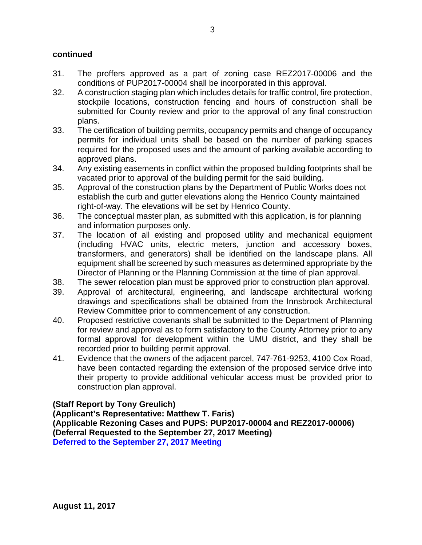# **continued**

- 31. The proffers approved as a part of zoning case REZ2017-00006 and the conditions of PUP2017-00004 shall be incorporated in this approval.
- 32. A construction staging plan which includes details for traffic control, fire protection, stockpile locations, construction fencing and hours of construction shall be submitted for County review and prior to the approval of any final construction plans.
- 33. The certification of building permits, occupancy permits and change of occupancy permits for individual units shall be based on the number of parking spaces required for the proposed uses and the amount of parking available according to approved plans.
- 34. Any existing easements in conflict within the proposed building footprints shall be vacated prior to approval of the building permit for the said building.
- 35. Approval of the construction plans by the Department of Public Works does not establish the curb and gutter elevations along the Henrico County maintained right-of-way. The elevations will be set by Henrico County.
- 36. The conceptual master plan, as submitted with this application, is for planning and information purposes only.
- 37. The location of all existing and proposed utility and mechanical equipment (including HVAC units, electric meters, junction and accessory boxes, transformers, and generators) shall be identified on the landscape plans. All equipment shall be screened by such measures as determined appropriate by the Director of Planning or the Planning Commission at the time of plan approval.
- 38. The sewer relocation plan must be approved prior to construction plan approval.
- 39. Approval of architectural, engineering, and landscape architectural working drawings and specifications shall be obtained from the Innsbrook Architectural Review Committee prior to commencement of any construction.
- 40. Proposed restrictive covenants shall be submitted to the Department of Planning for review and approval as to form satisfactory to the County Attorney prior to any formal approval for development within the UMU district, and they shall be recorded prior to building permit approval.
- 41. Evidence that the owners of the adjacent parcel, 747-761-9253, 4100 Cox Road, have been contacted regarding the extension of the proposed service drive into their property to provide additional vehicular access must be provided prior to construction plan approval.

# **(Staff Report by Tony Greulich)**

**(Applicant's Representative: Matthew T. Faris) (Applicable Rezoning Cases and PUPS: PUP2017-00004 and REZ2017-00006) (Deferral Requested to the September 27, 2017 Meeting) Deferred to the September 27, 2017 Meeting**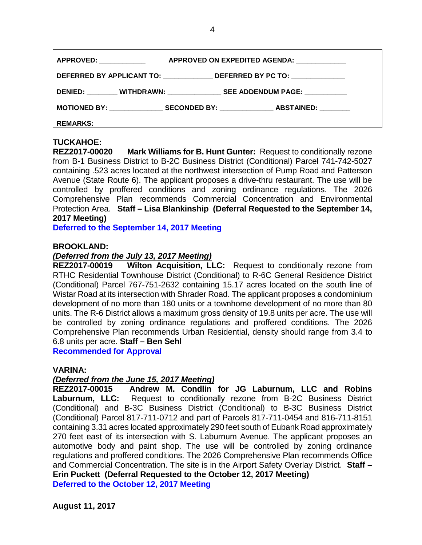| <b>APPROVED: _____________</b><br>APPROVED ON EXPEDITED AGENDA: ____________     |
|----------------------------------------------------------------------------------|
| DEFERRED BY APPLICANT TO: ______________________DEFERRED BY PC TO: _____________ |
| DENIED: WITHDRAWN: SEE ADDENDUM PAGE:                                            |
| MOTIONED BY: SECONDED BY: ABSTAINED:                                             |
| <b>REMARKS:</b>                                                                  |

**TUCKAHOE: Mark Williams for B. Hunt Gunter:** Request to conditionally rezone from B-1 Business District to B-2C Business District (Conditional) Parcel 741-742-5027 containing .523 acres located at the northwest intersection of Pump Road and Patterson Avenue (State Route 6). The applicant proposes a drive-thru restaurant. The use will be controlled by proffered conditions and zoning ordinance regulations. The 2026 Comprehensive Plan recommends Commercial Concentration and Environmental Protection Area. **Staff – Lisa Blankinship (Deferral Requested to the September 14, 2017 Meeting)**

**Deferred to the September 14, 2017 Meeting**

## **BROOKLAND:**

### *(Deferred from the July 13, 2017 Meeting)*

**REZ2017-00019 Wilton Acquisition, LLC:** Request to conditionally rezone from RTHC Residential Townhouse District (Conditional) to R-6C General Residence District (Conditional) Parcel 767-751-2632 containing 15.17 acres located on the south line of Wistar Road at its intersection with Shrader Road. The applicant proposes a condominium development of no more than 180 units or a townhome development of no more than 80 units. The R-6 District allows a maximum gross density of 19.8 units per acre. The use will be controlled by zoning ordinance regulations and proffered conditions. The 2026 Comprehensive Plan recommends Urban Residential, density should range from 3.4 to 6.8 units per acre. **Staff – Ben Sehl** 

**Recommended for Approval**

### **VARINA:**

## *(Deferred from the June 15, 2017 Meeting)*

**REZ2017-00015 Andrew M. Condlin for JG Laburnum, LLC and Robins Laburnum, LLC:** Request to conditionally rezone from B-2C Business District (Conditional) and B-3C Business District (Conditional) to B-3C Business District (Conditional) Parcel 817-711-0712 and part of Parcels 817-711-0454 and 816-711-8151 containing 3.31 acres located approximately 290 feet south of Eubank Road approximately 270 feet east of its intersection with S. Laburnum Avenue. The applicant proposes an automotive body and paint shop. The use will be controlled by zoning ordinance regulations and proffered conditions. The 2026 Comprehensive Plan recommends Office and Commercial Concentration. The site is in the Airport Safety Overlay District. **Staff – Erin Puckett (Deferral Requested to the October 12, 2017 Meeting) Deferred to the October 12, 2017 Meeting**

**August 11, 2017**